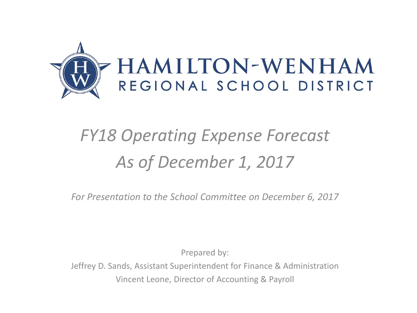

## *FY18 Operating Expense Forecast As of December 1, 2017*

*For Presentation to the School Committee on December 6, 2017*

Prepared by:

Jeffrey D. Sands, Assistant Superintendent for Finance & Administration Vincent Leone, Director of Accounting & Payroll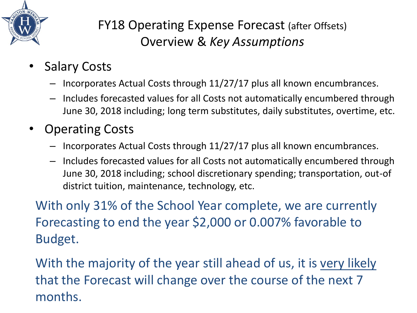

## FY18 Operating Expense Forecast (after Offsets) Overview & *Key Assumptions*

- **Salary Costs** 
	- Incorporates Actual Costs through 11/27/17 plus all known encumbrances.
	- Includes forecasted values for all Costs not automatically encumbered through June 30, 2018 including; long term substitutes, daily substitutes, overtime, etc.
- Operating Costs
	- Incorporates Actual Costs through 11/27/17 plus all known encumbrances.
	- Includes forecasted values for all Costs not automatically encumbered through June 30, 2018 including; school discretionary spending; transportation, out-of district tuition, maintenance, technology, etc.

With only 31% of the School Year complete, we are currently Forecasting to end the year \$2,000 or 0.007% favorable to Budget.

With the majority of the year still ahead of us, it is very likely that the Forecast will change over the course of the next 7 months.